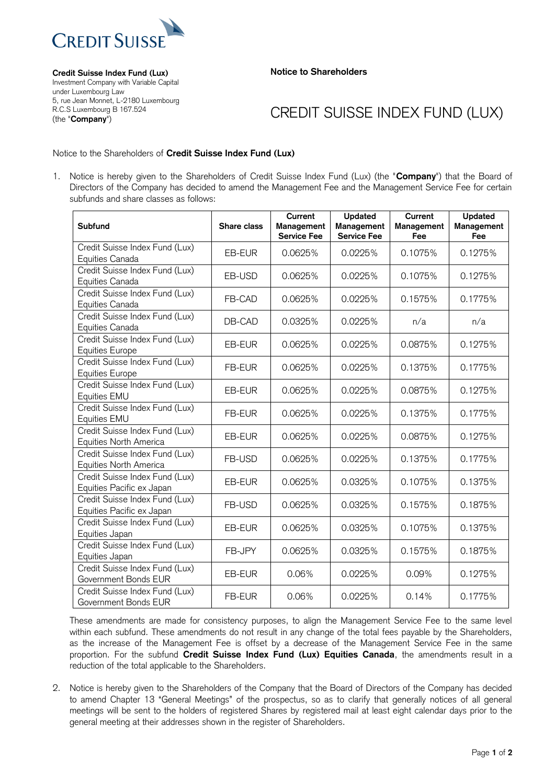

**Notice to Shareholders**

**Credit Suisse Index Fund (Lux)** Investment Company with Variable Capital under Luxembourg Law 5, rue Jean Monnet, L-2180 Luxembourg R.C.S Luxembourg B 167.524 (the "**Company**")

## CREDIT SUISSE INDEX FUND (LUX)

## Notice to the Shareholders of **Credit Suisse Index Fund (Lux)**

1. Notice is hereby given to the Shareholders of Credit Suisse Index Fund (Lux) (the "**Company**") that the Board of Directors of the Company has decided to amend the Management Fee and the Management Service Fee for certain subfunds and share classes as follows:

| <b>Subfund</b>                                              | Share class | Current<br>Management<br><b>Service Fee</b> | <b>Updated</b><br>Management<br><b>Service Fee</b> | Current<br>Management<br>Fee | Updated<br>Management<br>Fee |
|-------------------------------------------------------------|-------------|---------------------------------------------|----------------------------------------------------|------------------------------|------------------------------|
| Credit Suisse Index Fund (Lux)<br>Equities Canada           | EB-EUR      | 0.0625%                                     | 0.0225%                                            | 0.1075%                      | 0.1275%                      |
| Credit Suisse Index Fund (Lux)<br>Equities Canada           | EB-USD      | 0.0625%                                     | 0.0225%                                            | 0.1075%                      | 0.1275%                      |
| Credit Suisse Index Fund (Lux)<br>Equities Canada           | FB-CAD      | 0.0625%                                     | 0.0225%                                            | 0.1575%                      | 0.1775%                      |
| Credit Suisse Index Fund (Lux)<br>Equities Canada           | DB-CAD      | 0.0325%                                     | 0.0225%                                            | n/a                          | n/a                          |
| Credit Suisse Index Fund (Lux)<br><b>Equities Europe</b>    | EB-EUR      | 0.0625%                                     | 0.0225%                                            | 0.0875%                      | 0.1275%                      |
| Credit Suisse Index Fund (Lux)<br><b>Equities Europe</b>    | FB-EUR      | 0.0625%                                     | 0.0225%                                            | 0.1375%                      | 0.1775%                      |
| Credit Suisse Index Fund (Lux)<br>Equities EMU              | EB-EUR      | 0.0625%                                     | 0.0225%                                            | 0.0875%                      | 0.1275%                      |
| Credit Suisse Index Fund (Lux)<br>Equities EMU              | FB-EUR      | 0.0625%                                     | 0.0225%                                            | 0.1375%                      | 0.1775%                      |
| Credit Suisse Index Fund (Lux)<br>Equities North America    | EB-EUR      | 0.0625%                                     | 0.0225%                                            | 0.0875%                      | 0.1275%                      |
| Credit Suisse Index Fund (Lux)<br>Equities North America    | FB-USD      | 0.0625%                                     | 0.0225%                                            | 0.1375%                      | 0.1775%                      |
| Credit Suisse Index Fund (Lux)<br>Equities Pacific ex Japan | EB-EUR      | 0.0625%                                     | 0.0325%                                            | 0.1075%                      | 0.1375%                      |
| Credit Suisse Index Fund (Lux)<br>Equities Pacific ex Japan | FB-USD      | 0.0625%                                     | 0.0325%                                            | 0.1575%                      | 0.1875%                      |
| Credit Suisse Index Fund (Lux)<br>Equities Japan            | EB-EUR      | 0.0625%                                     | 0.0325%                                            | 0.1075%                      | 0.1375%                      |
| Credit Suisse Index Fund (Lux)<br>Equities Japan            | FB-JPY      | 0.0625%                                     | 0.0325%                                            | 0.1575%                      | 0.1875%                      |
| Credit Suisse Index Fund (Lux)<br>Government Bonds EUR      | EB-EUR      | 0.06%                                       | 0.0225%                                            | 0.09%                        | 0.1275%                      |
| Credit Suisse Index Fund (Lux)<br>Government Bonds EUR      | FB-EUR      | 0.06%                                       | 0.0225%                                            | 0.14%                        | 0.1775%                      |

These amendments are made for consistency purposes, to align the Management Service Fee to the same level within each subfund. These amendments do not result in any change of the total fees payable by the Shareholders, as the increase of the Management Fee is offset by a decrease of the Management Service Fee in the same proportion. For the subfund **Credit Suisse Index Fund (Lux) Equities Canada**, the amendments result in a reduction of the total applicable to the Shareholders.

2. Notice is hereby given to the Shareholders of the Company that the Board of Directors of the Company has decided to amend Chapter 13 "General Meetings" of the prospectus, so as to clarify that generally notices of all general meetings will be sent to the holders of registered Shares by registered mail at least eight calendar days prior to the general meeting at their addresses shown in the register of Shareholders.